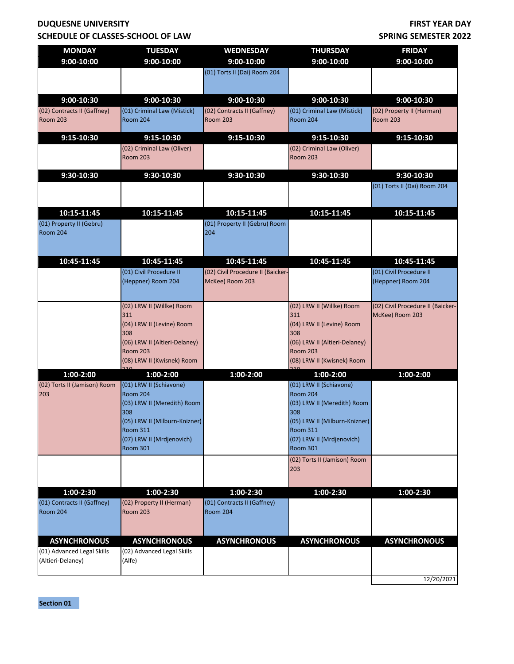## **DUQUESNE UNIVERSITY SCHEDULE OF CLASSES-SCHOOL OF LAW**

## **FIRST YEAR DAY SPRING SEMESTER 2022**

| <b>MONDAY</b>                                     | <b>TUESDAY</b>                                    | <b>WEDNESDAY</b>                  | <b>THURSDAY</b>                               | <b>FRIDAY</b>                     |
|---------------------------------------------------|---------------------------------------------------|-----------------------------------|-----------------------------------------------|-----------------------------------|
| 9:00-10:00                                        | 9:00-10:00                                        | 9:00-10:00                        | 9:00-10:00                                    | 9:00-10:00                        |
|                                                   |                                                   | (01) Torts II (Dai) Room 204      |                                               |                                   |
|                                                   |                                                   |                                   |                                               |                                   |
| 9:00-10:30                                        | $9:00-10:30$                                      | 9:00-10:30                        | $9:00-10:30$                                  | $9:00-10:30$                      |
| (02) Contracts II (Gaffney)                       | (01) Criminal Law (Mistick)                       | (02) Contracts II (Gaffney)       | (01) Criminal Law (Mistick)                   | (02) Property II (Herman)         |
| <b>Room 203</b>                                   | Room 204                                          | <b>Room 203</b>                   | <b>Room 204</b>                               | <b>Room 203</b>                   |
| $9:15 - 10:30$                                    | 9:15-10:30                                        | $9:15-10:30$                      | $9:15-10:30$                                  | $9:15-10:30$                      |
|                                                   | (02) Criminal Law (Oliver)<br><b>Room 203</b>     |                                   | (02) Criminal Law (Oliver)<br><b>Room 203</b> |                                   |
| 9:30-10:30                                        | 9:30-10:30                                        | 9:30-10:30                        | 9:30-10:30                                    | 9:30-10:30                        |
|                                                   |                                                   |                                   |                                               | (01) Torts II (Dai) Room 204      |
|                                                   |                                                   |                                   |                                               |                                   |
| 10:15-11:45                                       | 10:15-11:45                                       | 10:15-11:45                       | 10:15-11:45                                   | 10:15-11:45                       |
| (01) Property II (Gebru)                          |                                                   | (01) Property II (Gebru) Room     |                                               |                                   |
| <b>Room 204</b>                                   |                                                   | 204                               |                                               |                                   |
|                                                   |                                                   |                                   |                                               |                                   |
| 10:45-11:45                                       | 10:45-11:45                                       | 10:45-11:45                       | 10:45-11:45                                   | 10:45-11:45                       |
|                                                   | (01) Civil Procedure II                           | (02) Civil Procedure II (Baicker- |                                               | (01) Civil Procedure II           |
|                                                   | (Heppner) Room 204                                | McKee) Room 203                   |                                               | (Heppner) Room 204                |
|                                                   |                                                   |                                   |                                               |                                   |
|                                                   | (02) LRW II (Willke) Room                         |                                   | (02) LRW II (Willke) Room                     | (02) Civil Procedure II (Baicker- |
|                                                   | 311                                               |                                   | 311                                           | McKee) Room 203                   |
|                                                   | (04) LRW II (Levine) Room<br>308                  |                                   | (04) LRW II (Levine) Room<br>308              |                                   |
|                                                   | (06) LRW II (Altieri-Delaney)                     |                                   | (06) LRW II (Altieri-Delaney)                 |                                   |
|                                                   | <b>Room 203</b>                                   |                                   | <b>Room 203</b>                               |                                   |
|                                                   | (08) LRW II (Kwisnek) Room                        |                                   | (08) LRW II (Kwisnek) Room                    |                                   |
| $1:00-2:00$                                       | $1:00-2:00$                                       | $1:00-2:00$                       | $1:00-2:00$                                   | 1:00-2:00                         |
| (02) Torts II (Jamison) Room<br>203               | (01) LRW II (Schiavone)<br>Room 204               |                                   | (01) LRW II (Schiavone)<br><b>Room 204</b>    |                                   |
|                                                   | (03) LRW II (Meredith) Room                       |                                   | (03) LRW II (Meredith) Room                   |                                   |
|                                                   | 308                                               |                                   | 308                                           |                                   |
|                                                   | (05) LRW II (Milburn-Knizner)                     |                                   | (05) LRW II (Milburn-Knizner)                 |                                   |
|                                                   | <b>Room 311</b><br>(07) LRW II (Mrdjenovich)      |                                   | <b>Room 311</b><br>(07) LRW II (Mrdjenovich)  |                                   |
|                                                   | <b>Room 301</b>                                   |                                   | <b>Room 301</b>                               |                                   |
|                                                   |                                                   |                                   | (02) Torts II (Jamison) Room                  |                                   |
|                                                   |                                                   |                                   | 203                                           |                                   |
| $1:00-2:30$                                       | 1:00-2:30                                         | $1:00-2:30$                       | $1:00-2:30$                                   | $1:00-2:30$                       |
| (01) Contracts II (Gaffney)                       | (02) Property II (Herman)                         | (01) Contracts II (Gaffney)       |                                               |                                   |
| <b>Room 204</b>                                   | <b>Room 203</b>                                   | <b>Room 204</b>                   |                                               |                                   |
|                                                   |                                                   |                                   |                                               |                                   |
|                                                   |                                                   |                                   |                                               |                                   |
| <b>ASYNCHRONOUS</b><br>(01) Advanced Legal Skills | <b>ASYNCHRONOUS</b><br>(02) Advanced Legal Skills | <b>ASYNCHRONOUS</b>               | <b>ASYNCHRONOUS</b>                           | <b>ASYNCHRONOUS</b>               |
| (Altieri-Delaney)                                 | (Alfe)                                            |                                   |                                               |                                   |
|                                                   |                                                   |                                   |                                               |                                   |
|                                                   |                                                   |                                   |                                               | 12/20/2021                        |

**Section 01**